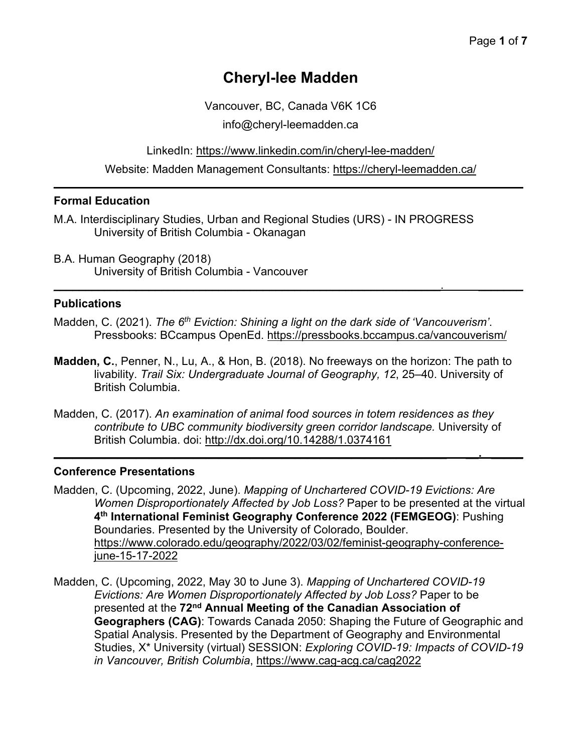# **Cheryl-lee Madden**

Vancouver, BC, Canada V6K 1C6

info@cheryl-leemadden.ca

LinkedIn: https://www.linkedin.com/in/cheryl-lee-madden/

Website: Madden Management Consultants: https://cheryl-leemadden.ca/  $\mathcal{L}_\mathcal{L} = \mathcal{L}_\mathcal{L} = \mathcal{L}_\mathcal{L} = \mathcal{L}_\mathcal{L} = \mathcal{L}_\mathcal{L} = \mathcal{L}_\mathcal{L} = \mathcal{L}_\mathcal{L} = \mathcal{L}_\mathcal{L} = \mathcal{L}_\mathcal{L} = \mathcal{L}_\mathcal{L} = \mathcal{L}_\mathcal{L} = \mathcal{L}_\mathcal{L} = \mathcal{L}_\mathcal{L} = \mathcal{L}_\mathcal{L} = \mathcal{L}_\mathcal{L} = \mathcal{L}_\mathcal{L} = \mathcal{L}_\mathcal{L}$ 

### **Formal Education**

- M.A. Interdisciplinary Studies, Urban and Regional Studies (URS) IN PROGRESS University of British Columbia - Okanagan
- B.A. Human Geography (2018) University of British Columbia - Vancouver

### **Publications**

Madden, C. (2021). *The 6th Eviction: Shining a light on the dark side of 'Vancouverism'*. Pressbooks: BCcampus OpenEd. https://pressbooks.bccampus.ca/vancouverism/

 $\mathcal{L}_\mathcal{L} = \mathcal{L}_\mathcal{L} = \mathcal{L}_\mathcal{L} = \mathcal{L}_\mathcal{L} = \mathcal{L}_\mathcal{L} = \mathcal{L}_\mathcal{L} = \mathcal{L}_\mathcal{L} = \mathcal{L}_\mathcal{L} = \mathcal{L}_\mathcal{L} = \mathcal{L}_\mathcal{L} = \mathcal{L}_\mathcal{L} = \mathcal{L}_\mathcal{L} = \mathcal{L}_\mathcal{L} = \mathcal{L}_\mathcal{L} = \mathcal{L}_\mathcal{L} = \mathcal{L}_\mathcal{L} = \mathcal{L}_\mathcal{L}$ 

- **Madden, C.**, Penner, N., Lu, A., & Hon, B. (2018). No freeways on the horizon: The path to livability. *Trail Six: Undergraduate Journal of Geography, 12*, 25–40. University of British Columbia.
- Madden, C. (2017). *An examination of animal food sources in totem residences as they contribute to UBC community biodiversity green corridor landscape.* University of British Columbia. doi: http://dx.doi.org/10.14288/1.0374161

**\_\_\_\_\_\_\_\_\_\_\_\_\_\_\_\_\_\_\_\_\_\_\_\_\_\_\_\_\_\_\_\_\_\_\_\_\_\_\_\_\_\_\_\_\_\_\_\_\_\_\_\_\_\_\_\_\_\_\_\_\_\_ \_\_. \_\_\_\_\_**

### **Conference Presentations**

- Madden, C. (Upcoming, 2022, June). *Mapping of Unchartered COVID-19 Evictions: Are Women Disproportionately Affected by Job Loss?* Paper to be presented at the virtual **4th International Feminist Geography Conference 2022 (FEMGEOG)**: Pushing Boundaries. Presented by the University of Colorado, Boulder. https://www.colorado.edu/geography/2022/03/02/feminist-geography-conferencejune-15-17-2022
- Madden, C. (Upcoming, 2022, May 30 to June 3). *Mapping of Unchartered COVID-19 Evictions: Are Women Disproportionately Affected by Job Loss?* Paper to be presented at the **72nd Annual Meeting of the Canadian Association of Geographers (CAG)**: Towards Canada 2050: Shaping the Future of Geographic and Spatial Analysis. Presented by the Department of Geography and Environmental Studies, X\* University (virtual) SESSION: *Exploring COVID-19: Impacts of COVID-19 in Vancouver, British Columbia*, https://www.cag-acg.ca/cag2022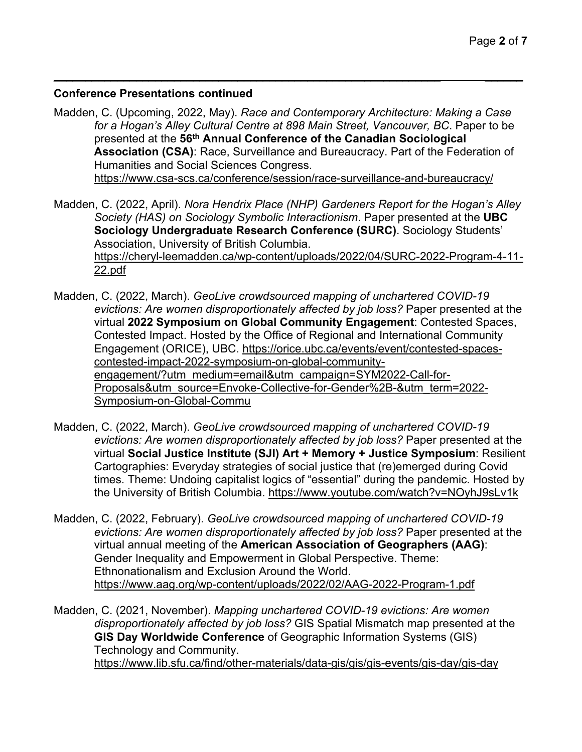#### **Conference Presentations continued**

Madden, C. (Upcoming, 2022, May). *Race and Contemporary Architecture: Making a Case for a Hogan's Alley Cultural Centre at 898 Main Street, Vancouver, BC*. Paper to be presented at the **56th Annual Conference of the Canadian Sociological Association (CSA)**: Race, Surveillance and Bureaucracy. Part of the Federation of Humanities and Social Sciences Congress. https://www.csa-scs.ca/conference/session/race-surveillance-and-bureaucracy/

 $\mathcal{L}_\mathcal{L} = \mathcal{L}_\mathcal{L} = \mathcal{L}_\mathcal{L} = \mathcal{L}_\mathcal{L} = \mathcal{L}_\mathcal{L} = \mathcal{L}_\mathcal{L} = \mathcal{L}_\mathcal{L} = \mathcal{L}_\mathcal{L} = \mathcal{L}_\mathcal{L} = \mathcal{L}_\mathcal{L} = \mathcal{L}_\mathcal{L} = \mathcal{L}_\mathcal{L} = \mathcal{L}_\mathcal{L} = \mathcal{L}_\mathcal{L} = \mathcal{L}_\mathcal{L} = \mathcal{L}_\mathcal{L} = \mathcal{L}_\mathcal{L}$ 

- Madden, C. (2022, April). *Nora Hendrix Place (NHP) Gardeners Report for the Hogan's Alley Society (HAS) on Sociology Symbolic Interactionism*. Paper presented at the **UBC Sociology Undergraduate Research Conference (SURC)**. Sociology Students' Association, University of British Columbia. https://cheryl-leemadden.ca/wp-content/uploads/2022/04/SURC-2022-Program-4-11- 22.pdf
- Madden, C. (2022, March). *GeoLive crowdsourced mapping of unchartered COVID-19 evictions: Are women disproportionately affected by job loss?* Paper presented at the virtual **2022 Symposium on Global Community Engagement**: Contested Spaces, Contested Impact. Hosted by the Office of Regional and International Community Engagement (ORICE), UBC. https://orice.ubc.ca/events/event/contested-spacescontested-impact-2022-symposium-on-global-communityengagement/?utm\_medium=email&utm\_campaign=SYM2022-Call-for-Proposals&utm\_source=Envoke-Collective-for-Gender%2B-&utm\_term=2022- Symposium-on-Global-Commu
- Madden, C. (2022, March). *GeoLive crowdsourced mapping of unchartered COVID-19 evictions: Are women disproportionately affected by job loss?* Paper presented at the virtual **Social Justice Institute (SJI) Art + Memory + Justice Symposium**: Resilient Cartographies: Everyday strategies of social justice that (re)emerged during Covid times. Theme: Undoing capitalist logics of "essential" during the pandemic. Hosted by the University of British Columbia. https://www.youtube.com/watch?v=NOyhJ9sLv1k
- Madden, C. (2022, February). *GeoLive crowdsourced mapping of unchartered COVID-19 evictions: Are women disproportionately affected by job loss?* Paper presented at the virtual annual meeting of the **American Association of Geographers (AAG)**: Gender Inequality and Empowerment in Global Perspective. Theme: Ethnonationalism and Exclusion Around the World. https://www.aag.org/wp-content/uploads/2022/02/AAG-2022-Program-1.pdf

Madden, C. (2021, November). *Mapping unchartered COVID-19 evictions: Are women disproportionately affected by job loss?* GIS Spatial Mismatch map presented at the **GIS Day Worldwide Conference** of Geographic Information Systems (GIS) Technology and Community. https://www.lib.sfu.ca/find/other-materials/data-gis/gis/gis-events/gis-day/gis-day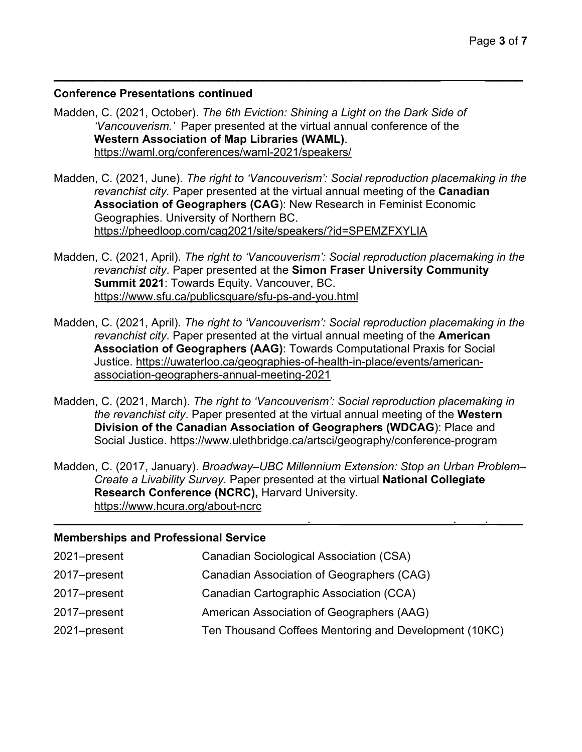### **Conference Presentations continued**

Madden, C. (2021, October). *The 6th Eviction: Shining a Light on the Dark Side of 'Vancouverism.'* Paper presented at the virtual annual conference of the **Western Association of Map Libraries (WAML)**. https://waml.org/conferences/waml-2021/speakers/

Madden, C. (2021, June). *The right to 'Vancouverism': Social reproduction placemaking in the revanchist city.* Paper presented at the virtual annual meeting of the **Canadian Association of Geographers (CAG**): New Research in Feminist Economic Geographies. University of Northern BC. https://pheedloop.com/cag2021/site/speakers/?id=SPEMZFXYLIA

 $\mathcal{L}_\mathcal{L} = \mathcal{L}_\mathcal{L} = \mathcal{L}_\mathcal{L} = \mathcal{L}_\mathcal{L} = \mathcal{L}_\mathcal{L} = \mathcal{L}_\mathcal{L} = \mathcal{L}_\mathcal{L} = \mathcal{L}_\mathcal{L} = \mathcal{L}_\mathcal{L} = \mathcal{L}_\mathcal{L} = \mathcal{L}_\mathcal{L} = \mathcal{L}_\mathcal{L} = \mathcal{L}_\mathcal{L} = \mathcal{L}_\mathcal{L} = \mathcal{L}_\mathcal{L} = \mathcal{L}_\mathcal{L} = \mathcal{L}_\mathcal{L}$ 

- Madden, C. (2021, April). *The right to 'Vancouverism': Social reproduction placemaking in the revanchist city*. Paper presented at the **Simon Fraser University Community Summit 2021**: Towards Equity. Vancouver, BC. https://www.sfu.ca/publicsquare/sfu-ps-and-you.html
- Madden, C. (2021, April). *The right to 'Vancouverism': Social reproduction placemaking in the revanchist city*. Paper presented at the virtual annual meeting of the **American Association of Geographers (AAG)**: Towards Computational Praxis for Social Justice. https://uwaterloo.ca/geographies-of-health-in-place/events/americanassociation-geographers-annual-meeting-2021
- Madden, C. (2021, March). *The right to 'Vancouverism': Social reproduction placemaking in the revanchist city*. Paper presented at the virtual annual meeting of the **Western Division of the Canadian Association of Geographers (WDCAG**): Place and Social Justice. https://www.ulethbridge.ca/artsci/geography/conference-program
- Madden, C. (2017, January). *Broadway–UBC Millennium Extension: Stop an Urban Problem– Create a Livability Survey.* Paper presented at the virtual **National Collegiate Research Conference (NCRC),** Harvard University. https://www.hcura.org/about-ncrc  $\mathcal{L}_\mathcal{L} = \mathcal{L}_\mathcal{L} = \mathcal{L}_\mathcal{L} = \mathcal{L}_\mathcal{L} = \mathcal{L}_\mathcal{L} = \mathcal{L}_\mathcal{L} = \mathcal{L}_\mathcal{L} = \mathcal{L}_\mathcal{L} = \mathcal{L}_\mathcal{L} = \mathcal{L}_\mathcal{L} = \mathcal{L}_\mathcal{L} = \mathcal{L}_\mathcal{L} = \mathcal{L}_\mathcal{L} = \mathcal{L}_\mathcal{L} = \mathcal{L}_\mathcal{L} = \mathcal{L}_\mathcal{L} = \mathcal{L}_\mathcal{L}$

### **Memberships and Professional Service**

| <b>Canadian Sociological Association (CSA)</b>        |
|-------------------------------------------------------|
| Canadian Association of Geographers (CAG)             |
| Canadian Cartographic Association (CCA)               |
| American Association of Geographers (AAG)             |
| Ten Thousand Coffees Mentoring and Development (10KC) |
|                                                       |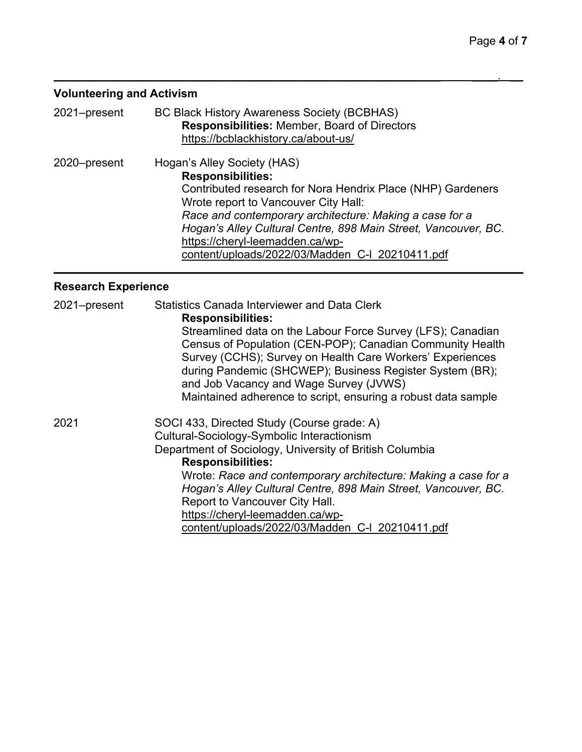# **Volunteering and Activism**

| 2021-present | <b>BC Black History Awareness Society (BCBHAS)</b><br><b>Responsibilities: Member, Board of Directors</b><br>https://bcblackhistory.ca/about-us/                                                                                                                                                                                                                                  |
|--------------|-----------------------------------------------------------------------------------------------------------------------------------------------------------------------------------------------------------------------------------------------------------------------------------------------------------------------------------------------------------------------------------|
| 2020-present | Hogan's Alley Society (HAS)<br><b>Responsibilities:</b><br>Contributed research for Nora Hendrix Place (NHP) Gardeners<br>Wrote report to Vancouver City Hall:<br>Race and contemporary architecture: Making a case for a<br>Hogan's Alley Cultural Centre, 898 Main Street, Vancouver, BC.<br>https://cheryl-leemadden.ca/wp-<br>content/uploads/2022/03/Madden C-I 20210411.pdf |

 $\mathcal{L}_\mathcal{L} = \mathcal{L}_\mathcal{L} = \mathcal{L}_\mathcal{L} = \mathcal{L}_\mathcal{L} = \mathcal{L}_\mathcal{L} = \mathcal{L}_\mathcal{L} = \mathcal{L}_\mathcal{L} = \mathcal{L}_\mathcal{L} = \mathcal{L}_\mathcal{L} = \mathcal{L}_\mathcal{L} = \mathcal{L}_\mathcal{L} = \mathcal{L}_\mathcal{L} = \mathcal{L}_\mathcal{L} = \mathcal{L}_\mathcal{L} = \mathcal{L}_\mathcal{L} = \mathcal{L}_\mathcal{L} = \mathcal{L}_\mathcal{L}$ 

# **Research Experience**

| 2021-present | <b>Statistics Canada Interviewer and Data Clerk</b><br><b>Responsibilities:</b><br>Streamlined data on the Labour Force Survey (LFS); Canadian<br>Census of Population (CEN-POP); Canadian Community Health<br>Survey (CCHS); Survey on Health Care Workers' Experiences<br>during Pandemic (SHCWEP); Business Register System (BR);<br>and Job Vacancy and Wage Survey (JVWS) |
|--------------|--------------------------------------------------------------------------------------------------------------------------------------------------------------------------------------------------------------------------------------------------------------------------------------------------------------------------------------------------------------------------------|
| 2021         | Maintained adherence to script, ensuring a robust data sample<br>SOCI 433, Directed Study (Course grade: A)<br>Cultural-Sociology-Symbolic Interactionism<br>Department of Sociology, University of British Columbia<br><b>Responsibilities:</b>                                                                                                                               |
|              | Wrote: Race and contemporary architecture: Making a case for a<br>Hogan's Alley Cultural Centre, 898 Main Street, Vancouver, BC.<br>Report to Vancouver City Hall.<br>https://cheryl-leemadden.ca/wp-<br>content/uploads/2022/03/Madden C-I 20210411.pdf                                                                                                                       |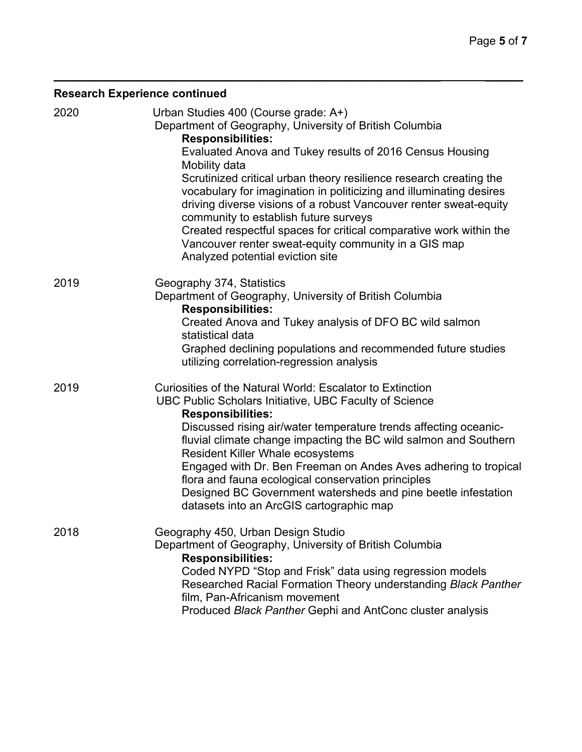# **Research Experience continued**

| 2020 | Urban Studies 400 (Course grade: A+)<br>Department of Geography, University of British Columbia<br><b>Responsibilities:</b><br>Evaluated Anova and Tukey results of 2016 Census Housing<br>Mobility data<br>Scrutinized critical urban theory resilience research creating the<br>vocabulary for imagination in politicizing and illuminating desires<br>driving diverse visions of a robust Vancouver renter sweat-equity<br>community to establish future surveys<br>Created respectful spaces for critical comparative work within the<br>Vancouver renter sweat-equity community in a GIS map<br>Analyzed potential eviction site |
|------|---------------------------------------------------------------------------------------------------------------------------------------------------------------------------------------------------------------------------------------------------------------------------------------------------------------------------------------------------------------------------------------------------------------------------------------------------------------------------------------------------------------------------------------------------------------------------------------------------------------------------------------|
| 2019 | Geography 374, Statistics<br>Department of Geography, University of British Columbia<br><b>Responsibilities:</b><br>Created Anova and Tukey analysis of DFO BC wild salmon<br>statistical data<br>Graphed declining populations and recommended future studies<br>utilizing correlation-regression analysis                                                                                                                                                                                                                                                                                                                           |
| 2019 | Curiosities of the Natural World: Escalator to Extinction<br>UBC Public Scholars Initiative, UBC Faculty of Science<br><b>Responsibilities:</b><br>Discussed rising air/water temperature trends affecting oceanic-<br>fluvial climate change impacting the BC wild salmon and Southern<br><b>Resident Killer Whale ecosystems</b><br>Engaged with Dr. Ben Freeman on Andes Aves adhering to tropical<br>flora and fauna ecological conservation principles<br>Designed BC Government watersheds and pine beetle infestation<br>datasets into an ArcGIS cartographic map                                                              |
| 2018 | Geography 450, Urban Design Studio<br>Department of Geography, University of British Columbia<br><b>Responsibilities:</b><br>Coded NYPD "Stop and Frisk" data using regression models<br>Researched Racial Formation Theory understanding Black Panther<br>film, Pan-Africanism movement<br>Produced Black Panther Gephi and AntConc cluster analysis                                                                                                                                                                                                                                                                                 |

 $\mathcal{L}_\mathcal{L} = \mathcal{L}_\mathcal{L} = \mathcal{L}_\mathcal{L} = \mathcal{L}_\mathcal{L} = \mathcal{L}_\mathcal{L} = \mathcal{L}_\mathcal{L} = \mathcal{L}_\mathcal{L} = \mathcal{L}_\mathcal{L} = \mathcal{L}_\mathcal{L} = \mathcal{L}_\mathcal{L} = \mathcal{L}_\mathcal{L} = \mathcal{L}_\mathcal{L} = \mathcal{L}_\mathcal{L} = \mathcal{L}_\mathcal{L} = \mathcal{L}_\mathcal{L} = \mathcal{L}_\mathcal{L} = \mathcal{L}_\mathcal{L}$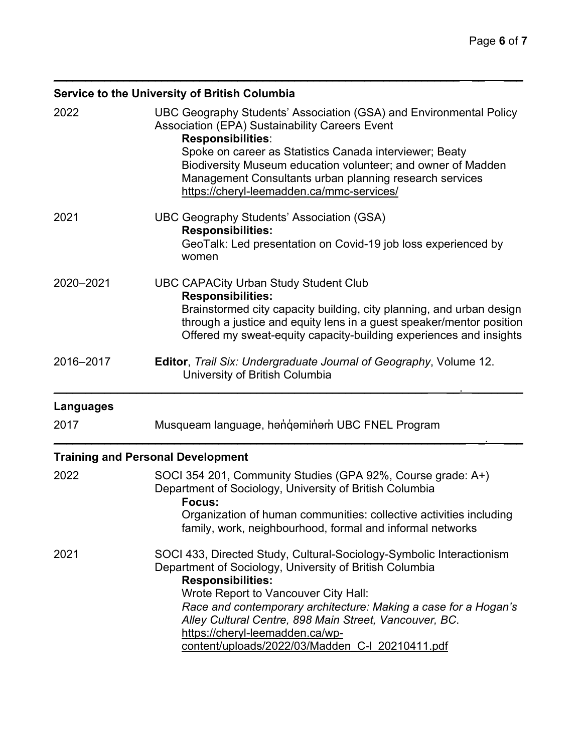# **Service to the University of British Columbia**

| 2022      | UBC Geography Students' Association (GSA) and Environmental Policy<br><b>Association (EPA) Sustainability Careers Event</b><br><b>Responsibilities:</b><br>Spoke on career as Statistics Canada interviewer; Beaty<br>Biodiversity Museum education volunteer; and owner of Madden<br>Management Consultants urban planning research services<br>https://cheryl-leemadden.ca/mmc-services/                             |
|-----------|------------------------------------------------------------------------------------------------------------------------------------------------------------------------------------------------------------------------------------------------------------------------------------------------------------------------------------------------------------------------------------------------------------------------|
| 2021      | <b>UBC Geography Students' Association (GSA)</b><br><b>Responsibilities:</b><br>GeoTalk: Led presentation on Covid-19 job loss experienced by<br>women                                                                                                                                                                                                                                                                 |
| 2020-2021 | <b>UBC CAPACity Urban Study Student Club</b><br><b>Responsibilities:</b><br>Brainstormed city capacity building, city planning, and urban design<br>through a justice and equity lens in a guest speaker/mentor position<br>Offered my sweat-equity capacity-building experiences and insights                                                                                                                         |
| 2016-2017 | <b>Editor, Trail Six: Undergraduate Journal of Geography, Volume 12.</b><br>University of British Columbia                                                                                                                                                                                                                                                                                                             |
| Languages |                                                                                                                                                                                                                                                                                                                                                                                                                        |
| 2017      | Musqueam language, hangaminam UBC FNEL Program                                                                                                                                                                                                                                                                                                                                                                         |
|           | <b>Training and Personal Development</b>                                                                                                                                                                                                                                                                                                                                                                               |
| 2022      | SOCI 354 201, Community Studies (GPA 92%, Course grade: A+)<br>Department of Sociology, University of British Columbia<br>Focus:<br>Organization of human communities: collective activities including<br>family, work, neighbourhood, formal and informal networks                                                                                                                                                    |
| 2021      | SOCI 433, Directed Study, Cultural-Sociology-Symbolic Interactionism<br>Department of Sociology, University of British Columbia<br><b>Responsibilities:</b><br>Wrote Report to Vancouver City Hall:<br>Race and contemporary architecture: Making a case for a Hogan's<br>Alley Cultural Centre, 898 Main Street, Vancouver, BC.<br>https://cheryl-leemadden.ca/wp-<br>content/uploads/2022/03/Madden C-I 20210411.pdf |

 $\mathcal{L}_\mathcal{L} = \mathcal{L}_\mathcal{L} = \mathcal{L}_\mathcal{L} = \mathcal{L}_\mathcal{L} = \mathcal{L}_\mathcal{L} = \mathcal{L}_\mathcal{L} = \mathcal{L}_\mathcal{L} = \mathcal{L}_\mathcal{L} = \mathcal{L}_\mathcal{L} = \mathcal{L}_\mathcal{L} = \mathcal{L}_\mathcal{L} = \mathcal{L}_\mathcal{L} = \mathcal{L}_\mathcal{L} = \mathcal{L}_\mathcal{L} = \mathcal{L}_\mathcal{L} = \mathcal{L}_\mathcal{L} = \mathcal{L}_\mathcal{L}$